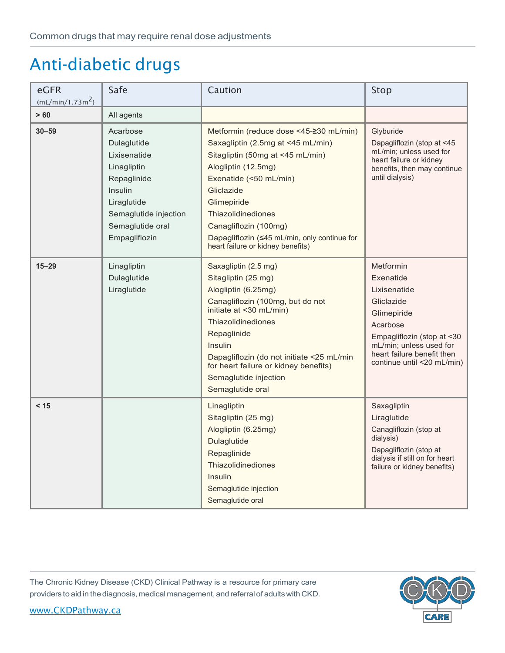| eGFR<br>(mL/min/1.73m <sup>2</sup> ) | Safe                                                                                                                                                                 | Caution                                                                                                                                                                                                                                                                                                                                  | Stop                                                                                                                                                                                                 |
|--------------------------------------|----------------------------------------------------------------------------------------------------------------------------------------------------------------------|------------------------------------------------------------------------------------------------------------------------------------------------------------------------------------------------------------------------------------------------------------------------------------------------------------------------------------------|------------------------------------------------------------------------------------------------------------------------------------------------------------------------------------------------------|
| > 60                                 | All agents                                                                                                                                                           |                                                                                                                                                                                                                                                                                                                                          |                                                                                                                                                                                                      |
| $30 - 59$                            | Acarbose<br>Dulaglutide<br>Lixisenatide<br>Linagliptin<br>Repaglinide<br><b>Insulin</b><br>Liraglutide<br>Semaglutide injection<br>Semaglutide oral<br>Empagliflozin | Metformin (reduce dose <45-≥30 mL/min)<br>Saxagliptin (2.5mg at <45 mL/min)<br>Sitagliptin (50mg at <45 mL/min)<br>Alogliptin (12.5mg)<br>Exenatide (<50 mL/min)<br>Gliclazide<br>Glimepiride<br><b>Thiazolidinediones</b><br>Canagliflozin (100mg)<br>Dapagliflozin (≤45 mL/min, only continue for<br>heart failure or kidney benefits) | Glyburide<br>Dapagliflozin (stop at <45<br>mL/min; unless used for<br>heart failure or kidney<br>benefits, then may continue<br>until dialysis)                                                      |
| $15 - 29$                            | Linagliptin<br>Dulaglutide<br>Liraglutide                                                                                                                            | Saxagliptin (2.5 mg)<br>Sitagliptin (25 mg)<br>Alogliptin (6.25mg)<br>Canagliflozin (100mg, but do not<br>initiate at <30 mL/min)<br><b>Thiazolidinediones</b><br>Repaglinide<br>Insulin<br>Dapagliflozin (do not initiate <25 mL/min<br>for heart failure or kidney benefits)<br>Semaglutide injection<br>Semaglutide oral              | Metformin<br>Exenatide<br>Lixisenatide<br>Gliclazide<br>Glimepiride<br>Acarbose<br>Empagliflozin (stop at <30<br>mL/min; unless used for<br>heart failure benefit then<br>continue until <20 mL/min) |
| < 15                                 |                                                                                                                                                                      | Linagliptin<br>Sitagliptin (25 mg)<br>Alogliptin (6.25mg)<br>Dulaglutide<br>Repaglinide<br><b>Thiazolidinediones</b><br><b>Insulin</b><br>Semaglutide injection<br>Semaglutide oral                                                                                                                                                      | Saxagliptin<br>Liraglutide<br>Canagliflozin (stop at<br>dialysis)<br>Dapagliflozin (stop at<br>dialysis if still on for heart<br>failure or kidney benefits)                                         |

The Chronic Kidney Disease (CKD) Clinical Pathway is a resource for primary care providers to aid in the diagnosis, medical management, and referral of adults with CKD.

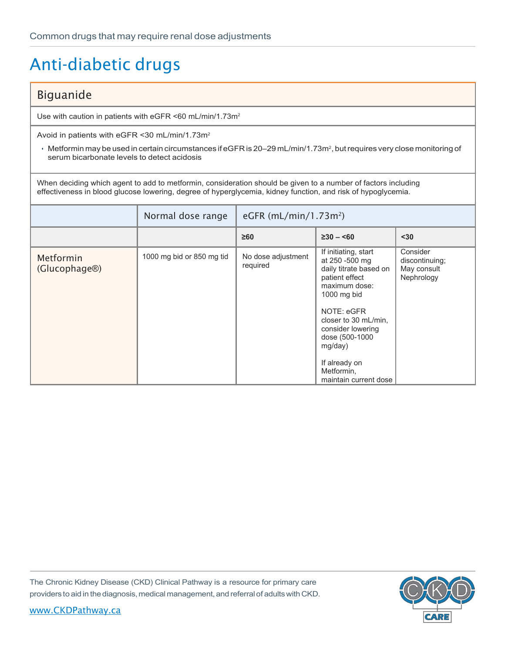#### Biguanide

Use with caution in patients with eGFR <60 mL/min/1.73m2

Avoid in patients with eGFR <30 mL/min/1.73m2

 $\cdot$  Metformin may be used in certain circumstances if eGFR is 20–29 mL/min/1.73m<sup>2</sup>, but requires very close monitoring of serum bicarbonate levels to detect acidosis

When deciding which agent to add to metformin, consideration should be given to a number of factors including effectiveness in blood glucose lowering, degree of hyperglycemia, kidney function, and risk of hypoglycemia.

|                            | Normal dose range         | eGFR $(mL/min/1.73m2)$         |                                                                                                                                                                                                                                                                    |                                                         |
|----------------------------|---------------------------|--------------------------------|--------------------------------------------------------------------------------------------------------------------------------------------------------------------------------------------------------------------------------------------------------------------|---------------------------------------------------------|
|                            |                           | $\geq 60$                      | $\geq 30 - 60$                                                                                                                                                                                                                                                     | $30$                                                    |
| Metformin<br>(Glucophage®) | 1000 mg bid or 850 mg tid | No dose adjustment<br>required | If initiating, start<br>at 250 -500 mg<br>daily titrate based on<br>patient effect<br>maximum dose:<br>1000 mg bid<br>NOTE: eGFR<br>closer to 30 mL/min.<br>consider lowering<br>dose (500-1000<br>mg/day)<br>If already on<br>Metformin,<br>maintain current dose | Consider<br>discontinuing;<br>May consult<br>Nephrology |

The Chronic Kidney Disease (CKD) Clinical Pathway is a resource for primary care providers to aid in the diagnosis, medical management, and referral of adults with CKD.

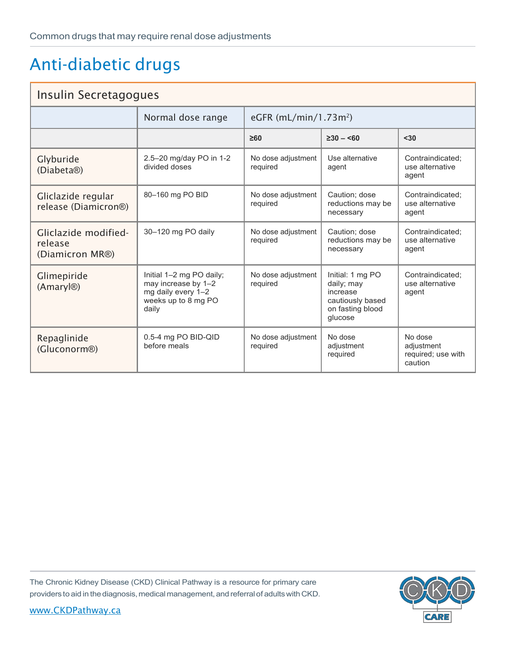| Insulin Secretagogues                              |                                                                                                       |                                |                                                                                               |                                                        |
|----------------------------------------------------|-------------------------------------------------------------------------------------------------------|--------------------------------|-----------------------------------------------------------------------------------------------|--------------------------------------------------------|
|                                                    | Normal dose range                                                                                     | eGFR $(mL/min/1.73m2)$         |                                                                                               |                                                        |
|                                                    |                                                                                                       | $\geq 60$                      | $\geq 30 - 50$                                                                                | $30$                                                   |
| Glyburide<br>(Diabeta <sup>®</sup> )               | 2.5-20 mg/day PO in 1-2<br>divided doses                                                              | No dose adjustment<br>required | Use alternative<br>agent                                                                      | Contraindicated;<br>use alternative<br>agent           |
| Gliclazide regular<br>release (Diamicron®)         | 80-160 mg PO BID                                                                                      | No dose adjustment<br>required | Caution: dose<br>reductions may be<br>necessary                                               | Contraindicated:<br>use alternative<br>agent           |
| Gliclazide modified-<br>release<br>(Diamicron MR®) | 30-120 mg PO daily                                                                                    | No dose adjustment<br>required | Caution: dose<br>reductions may be<br>necessary                                               | Contraindicated:<br>use alternative<br>agent           |
| Glimepiride<br>(Amaryl <sup>®)</sup>               | Initial 1-2 mg PO daily;<br>may increase by 1-2<br>mg daily every 1-2<br>weeks up to 8 mg PO<br>daily | No dose adjustment<br>required | Initial: 1 mg PO<br>daily; may<br>increase<br>cautiously based<br>on fasting blood<br>qlucose | Contraindicated;<br>use alternative<br>agent           |
| Repaglinide<br>(Gluconorm®)                        | 0.5-4 mg PO BID-QID<br>before meals                                                                   | No dose adjustment<br>required | No dose<br>adjustment<br>required                                                             | No dose<br>adjustment<br>required; use with<br>caution |

The Chronic Kidney Disease (CKD) Clinical Pathway is a resource for primary care providers to aid in the diagnosis, medical management, and referral of adults with CKD.

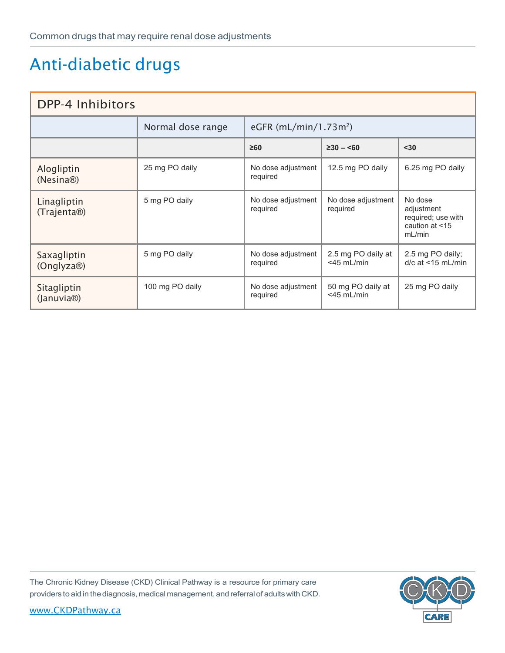| DPP-4 Inhibitors                       |                   |                                   |                                     |                                                                         |
|----------------------------------------|-------------------|-----------------------------------|-------------------------------------|-------------------------------------------------------------------------|
|                                        | Normal dose range | eGFR (mL/min/1.73m <sup>2</sup> ) |                                     |                                                                         |
|                                        |                   | $\geq 60$                         | $\geq 30 - 50$                      | $30$                                                                    |
| Alogliptin<br>(Nesina®)                | 25 mg PO daily    | No dose adjustment<br>required    | 12.5 mg PO daily                    | 6.25 mg PO daily                                                        |
| Linagliptin<br>(Trajenta®)             | 5 mg PO daily     | No dose adjustment<br>required    | No dose adjustment<br>required      | No dose<br>adjustment<br>required; use with<br>caution at <15<br>mL/min |
| Saxagliptin<br>(Onglyza®)              | 5 mg PO daily     | No dose adjustment<br>required    | 2.5 mg PO daily at<br>$<$ 45 mL/min | 2.5 mg PO daily;<br>$d/c$ at $\leq$ 15 mL/min                           |
| Sitagliptin<br>(Januvia <sup>®</sup> ) | 100 mg PO daily   | No dose adjustment<br>required    | 50 mg PO daily at<br>$<$ 45 mL/min  | 25 mg PO daily                                                          |

The Chronic Kidney Disease (CKD) Clinical Pathway is a resource for primary care providers to aid in the diagnosis, medical management, and referral of adults with CKD.

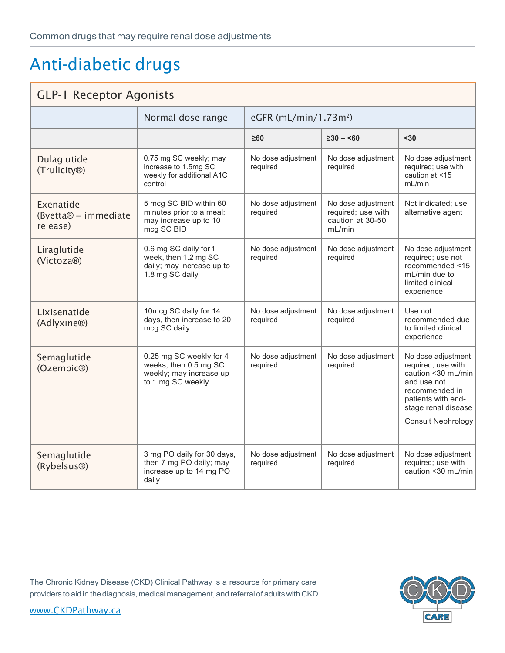#### **GLP-1 Receptor Agonists**

|                                                           | Normal dose range                                                                                | eGFR (mL/min/1.73m <sup>2</sup> ) |                                                                        |                                                                                                                                                                    |
|-----------------------------------------------------------|--------------------------------------------------------------------------------------------------|-----------------------------------|------------------------------------------------------------------------|--------------------------------------------------------------------------------------------------------------------------------------------------------------------|
|                                                           |                                                                                                  | $\geq 60$                         | $\geq 30 - 50$                                                         | $30$                                                                                                                                                               |
| Dulaglutide<br>(Trulicity®)                               | 0.75 mg SC weekly; may<br>increase to 1.5mg SC<br>weekly for additional A1C<br>control           | No dose adjustment<br>required    | No dose adjustment<br>required                                         | No dose adjustment<br>required; use with<br>caution at <15<br>mL/min                                                                                               |
| Exenatide<br>(Byetta <sup>®</sup> – immediate<br>release) | 5 mcg SC BID within 60<br>minutes prior to a meal;<br>may increase up to 10<br>mcg SC BID        | No dose adjustment<br>required    | No dose adjustment<br>required; use with<br>caution at 30-50<br>mL/min | Not indicated; use<br>alternative agent                                                                                                                            |
| Liraglutide<br>(Victoza®)                                 | 0.6 mg SC daily for 1<br>week, then 1.2 mg SC<br>daily; may increase up to<br>1.8 mg SC daily    | No dose adjustment<br>required    | No dose adjustment<br>required                                         | No dose adjustment<br>required; use not<br>recommended <15<br>mL/min due to<br>limited clinical<br>experience                                                      |
| Lixisenatide<br>(Adlyxine®)                               | 10mcg SC daily for 14<br>days, then increase to 20<br>mcg SC daily                               | No dose adjustment<br>required    | No dose adjustment<br>required                                         | Use not<br>recommended due<br>to limited clinical<br>experience                                                                                                    |
| Semaglutide<br>(Ozempic®)                                 | 0.25 mg SC weekly for 4<br>weeks, then 0.5 mg SC<br>weekly; may increase up<br>to 1 mg SC weekly | No dose adjustment<br>required    | No dose adjustment<br>required                                         | No dose adjustment<br>required; use with<br>caution <30 mL/min<br>and use not<br>recommended in<br>patients with end-<br>stage renal disease<br>Consult Nephrology |
| Semaglutide<br>(Rybelsus <sup>®)</sup>                    | 3 mg PO daily for 30 days,<br>then 7 mg PO daily; may<br>increase up to 14 mg PO<br>daily        | No dose adjustment<br>required    | No dose adjustment<br>required                                         | No dose adjustment<br>required; use with<br>caution <30 mL/min                                                                                                     |

The Chronic Kidney Disease (CKD) Clinical Pathway is a resource for primary care providers to aid in the diagnosis, medical management, and referral of adults with CKD.